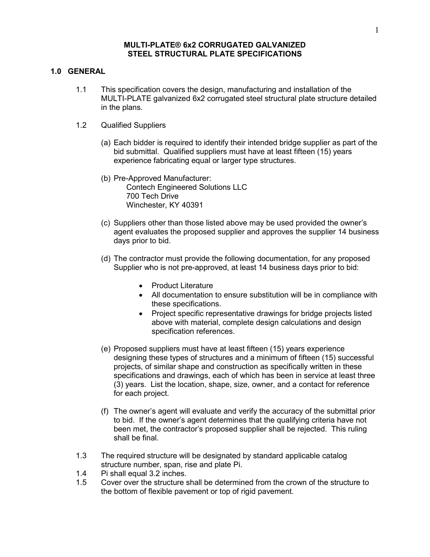#### **MULTI-PLATE® 6x2 CORRUGATED GALVANIZED STEEL STRUCTURAL PLATE SPECIFICATIONS**

### **1.0 GENERAL**

- 1.1 This specification covers the design, manufacturing and installation of the MULTI-PLATE galvanized 6x2 corrugated steel structural plate structure detailed in the plans.
- 1.2 Qualified Suppliers
	- (a) Each bidder is required to identify their intended bridge supplier as part of the bid submittal. Qualified suppliers must have at least fifteen (15) years experience fabricating equal or larger type structures.
	- (b) Pre-Approved Manufacturer: Contech Engineered Solutions LLC 700 Tech Drive Winchester, KY 40391
	- (c) Suppliers other than those listed above may be used provided the owner's agent evaluates the proposed supplier and approves the supplier 14 business days prior to bid.
	- (d) The contractor must provide the following documentation, for any proposed Supplier who is not pre-approved, at least 14 business days prior to bid:
		- Product Literature
		- All documentation to ensure substitution will be in compliance with these specifications.
		- Project specific representative drawings for bridge projects listed above with material, complete design calculations and design specification references.
	- (e) Proposed suppliers must have at least fifteen (15) years experience designing these types of structures and a minimum of fifteen (15) successful projects, of similar shape and construction as specifically written in these specifications and drawings, each of which has been in service at least three (3) years. List the location, shape, size, owner, and a contact for reference for each project.
	- (f) The owner's agent will evaluate and verify the accuracy of the submittal prior to bid. If the owner's agent determines that the qualifying criteria have not been met, the contractor's proposed supplier shall be rejected. This ruling shall be final.
- 1.3 The required structure will be designated by standard applicable catalog structure number, span, rise and plate Pi.
- 1.4 Pi shall equal 3.2 inches.
- 1.5 Cover over the structure shall be determined from the crown of the structure to the bottom of flexible pavement or top of rigid pavement.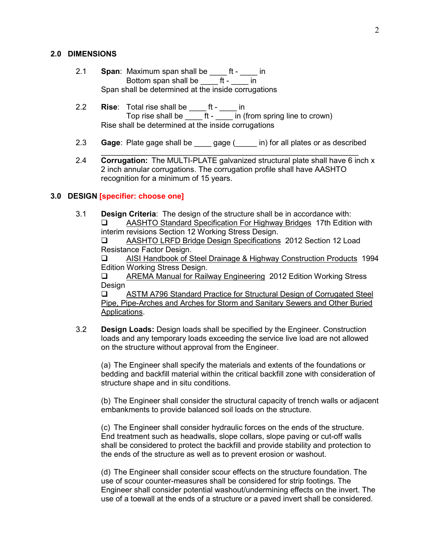#### **2.0 DIMENSIONS**

- 2.1 **Span**: Maximum span shall be \_\_\_\_ ft \_\_\_\_ in Bottom span shall be \_\_\_\_ ft - \_\_\_\_ in Span shall be determined at the inside corrugations
- 2.2 **Rise**: Total rise shall be \_\_\_\_ ft \_\_\_\_ in Top rise shall be \_\_\_\_ ft - \_\_\_\_ in (from spring line to crown) Rise shall be determined at the inside corrugations
- 2.3 **Gage**: Plate gage shall be \_\_\_\_ gage (\_\_\_\_\_ in) for all plates or as described
- \_\_\_\_\_\_\_\_\_\_\_\_\_\_\_\_\_\_\_\_\_\_\_\_\_\_\_\_\_\_\_\_\_\_\_\_\_\_\_\_\_\_\_\_\_\_\_\_\_\_\_\_\_\_\_\_\_\_\_\_ 2.4 **Corrugation:** The MULTI-PLATE galvanized structural plate shall have 6 inch x 2 inch annular corrugations. The corrugation profile shall have AASHTO recognition for a minimum of 15 years.

## **3.0 DESIGN [specifier: choose one]**

3.1 **Design Criteria**: The design of the structure shall be in accordance with: AASHTO Standard Specification For Highway Bridges 17th Edition with interim revisions Section 12 Working Stress Design. AASHTO LRFD Bridge Design Specifications 2012 Section 12 Load Resistance Factor Design. AISI Handbook of Steel Drainage & Highway Construction Products 1994 Edition Working Stress Design. AREMA Manual for Railway Engineering 2012 Edition Working Stress Design □ ASTM A796 Standard Practice for Structural Design of Corrugated Steel Pipe, Pipe-Arches and Arches for Storm and Sanitary Sewers and Other Buried

Applications.

3.2 **Design Loads:** Design loads shall be specified by the Engineer. Construction loads and any temporary loads exceeding the service live load are not allowed on the structure without approval from the Engineer.

(a) The Engineer shall specify the materials and extents of the foundations or bedding and backfill material within the critical backfill zone with consideration of structure shape and in situ conditions.

(b) The Engineer shall consider the structural capacity of trench walls or adjacent embankments to provide balanced soil loads on the structure.

(c) The Engineer shall consider hydraulic forces on the ends of the structure. End treatment such as headwalls, slope collars, slope paving or cut-off walls shall be considered to protect the backfill and provide stability and protection to the ends of the structure as well as to prevent erosion or washout.

(d) The Engineer shall consider scour effects on the structure foundation. The use of scour counter-measures shall be considered for strip footings. The Engineer shall consider potential washout/undermining effects on the invert. The use of a toewall at the ends of a structure or a paved invert shall be considered.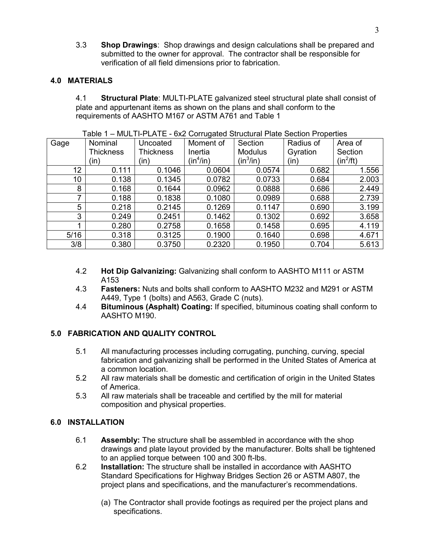3.3 **Shop Drawings**: Shop drawings and design calculations shall be prepared and submitted to the owner for approval. The contractor shall be responsible for verification of all field dimensions prior to fabrication.

# **4.0 MATERIALS**

4.1 **Structural Plate**: MULTI-PLATE galvanized steel structural plate shall consist of plate and appurtenant items as shown on the plans and shall conform to the requirements of AASHTO M167 or ASTM A761 and Table 1

| Gage | Nominal          | Uncoated         | Moment of   | Section        | Radius of | Area of     |
|------|------------------|------------------|-------------|----------------|-----------|-------------|
|      | <b>Thickness</b> | <b>Thickness</b> | Inertia     | <b>Modulus</b> | Gyration  | Section     |
|      | (in)             | (in)             | $(in^4/in)$ | (in $^3$ /in)  | (in)      | $(in^2/ft)$ |
| 12   | 0.111            | 0.1046           | 0.0604      | 0.0574         | 0.682     | 1.556       |
| 10   | 0.138            | 0.1345           | 0.0782      | 0.0733         | 0.684     | 2.003       |
| 8    | 0.168            | 0.1644           | 0.0962      | 0.0888         | 0.686     | 2.449       |
| ⇁    | 0.188            | 0.1838           | 0.1080      | 0.0989         | 0.688     | 2.739       |
| 5    | 0.218            | 0.2145           | 0.1269      | 0.1147         | 0.690     | 3.199       |
| 3    | 0.249            | 0.2451           | 0.1462      | 0.1302         | 0.692     | 3.658       |
|      | 0.280            | 0.2758           | 0.1658      | 0.1458         | 0.695     | 4.119       |
| 5/16 | 0.318            | 0.3125           | 0.1900      | 0.1640         | 0.698     | 4.671       |
| 3/8  | 0.380            | 0.3750           | 0.2320      | 0.1950         | 0.704     | 5.613       |

Table 1 – MULTI-PLATE - 6x2 Corrugated Structural Plate Section Properties

- 4.2 **Hot Dip Galvanizing:** Galvanizing shall conform to AASHTO M111 or ASTM A153
- 4.3 **Fasteners:** Nuts and bolts shall conform to AASHTO M232 and M291 or ASTM A449, Type 1 (bolts) and A563, Grade C (nuts).
- 4.4 **Bituminous (Asphalt) Coating:** If specified, bituminous coating shall conform to AASHTO M190.

# **5.0 FABRICATION AND QUALITY CONTROL**

- 5.1 All manufacturing processes including corrugating, punching, curving, special fabrication and galvanizing shall be performed in the United States of America at a common location.
- 5.2 All raw materials shall be domestic and certification of origin in the United States of America.
- 5.3 All raw materials shall be traceable and certified by the mill for material composition and physical properties.

# **6.0 INSTALLATION**

- 6.1 **Assembly:** The structure shall be assembled in accordance with the shop drawings and plate layout provided by the manufacturer. Bolts shall be tightened to an applied torque between 100 and 300 ft-lbs.
- 6.2 **Installation:** The structure shall be installed in accordance with AASHTO Standard Specifications for Highway Bridges Section 26 or ASTM A807, the project plans and specifications, and the manufacturer's recommendations.
	- (a) The Contractor shall provide footings as required per the project plans and specifications.